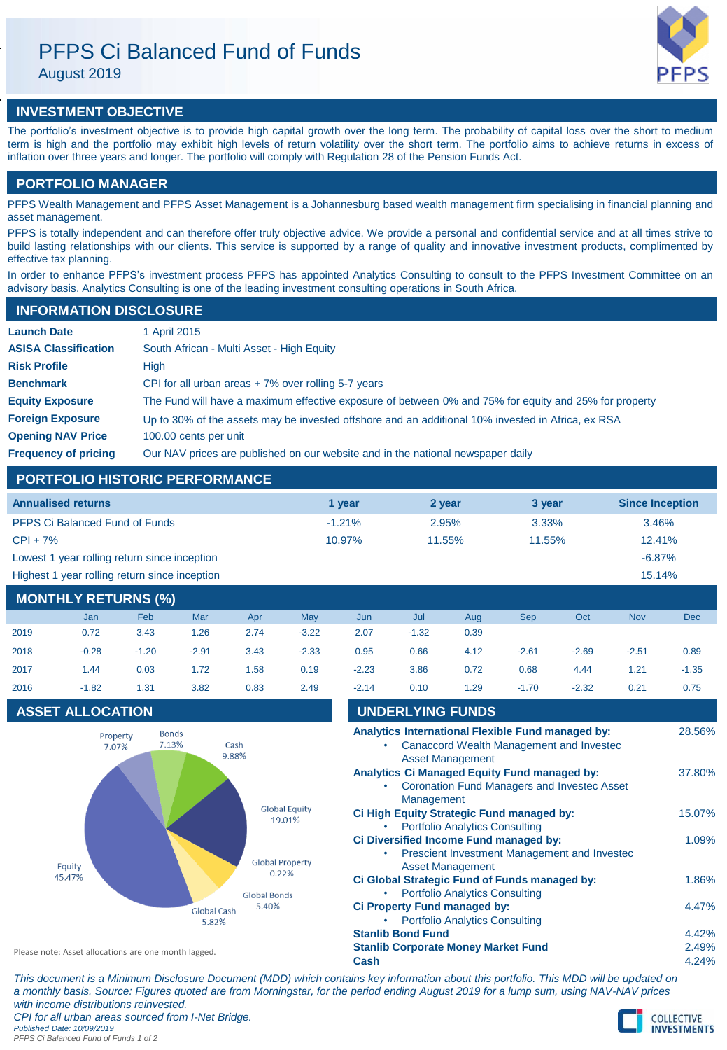# PFPS Ci Balanced Fund of Funds

August 2019



# **INVESTMENT OBJECTIVE**

The portfolio's investment objective is to provide high capital growth over the long term. The probability of capital loss over the short to medium term is high and the portfolio may exhibit high levels of return volatility over the short term. The portfolio aims to achieve returns in excess of inflation over three years and longer. The portfolio will comply with Regulation 28 of the Pension Funds Act.

# **PORTFOLIO MANAGER**

PFPS Wealth Management and PFPS Asset Management is a Johannesburg based wealth management firm specialising in financial planning and asset management.

PFPS is totally independent and can therefore offer truly objective advice. We provide a personal and confidential service and at all times strive to build lasting relationships with our clients. This service is supported by a range of quality and innovative investment products, complimented by effective tax planning.

In order to enhance PFPS's investment process PFPS has appointed Analytics Consulting to consult to the PFPS Investment Committee on an advisory basis. Analytics Consulting is one of the leading investment consulting operations in South Africa.

# **INFORMATION DISCLOSURE**

| <b>Launch Date</b>          | 1 April 2015                                                                                          |
|-----------------------------|-------------------------------------------------------------------------------------------------------|
| <b>ASISA Classification</b> | South African - Multi Asset - High Equity                                                             |
| <b>Risk Profile</b>         | High                                                                                                  |
| <b>Benchmark</b>            | CPI for all urban areas $+7\%$ over rolling 5-7 years                                                 |
| <b>Equity Exposure</b>      | The Fund will have a maximum effective exposure of between 0% and 75% for equity and 25% for property |
| <b>Foreign Exposure</b>     | Up to 30% of the assets may be invested offshore and an additional 10% invested in Africa, ex RSA     |
| <b>Opening NAV Price</b>    | 100.00 cents per unit                                                                                 |
| <b>Frequency of pricing</b> | Our NAV prices are published on our website and in the national newspaper daily                       |

# **PORTFOLIO HISTORIC PERFORMANCE**

| <b>Annualised returns</b>                     | 1 vear    | 2 year | 3 vear | <b>Since Inception</b> |
|-----------------------------------------------|-----------|--------|--------|------------------------|
| <b>PFPS Ci Balanced Fund of Funds</b>         | $-1.21\%$ | 2.95%  | 3.33%  | 3.46%                  |
| $CPI + 7%$                                    | 10.97%    | 11.55% | 11.55% | $12.41\%$              |
| Lowest 1 year rolling return since inception  |           |        |        | $-6.87%$               |
| Highest 1 year rolling return since inception |           |        |        | 15.14%                 |

# **MONTHLY RETURNS (%)**

|      | <b>Jan</b> | Feb     | Mar     | Apr  | May     | Jun     | Jul     | Aug  | <b>Sep</b> | Oct     | <b>Nov</b> | <b>Dec</b> |
|------|------------|---------|---------|------|---------|---------|---------|------|------------|---------|------------|------------|
| 2019 | 0.72       | 3.43    | 1.26    | 2.74 | $-3.22$ | 2.07    | $-1.32$ | 0.39 |            |         |            |            |
| 2018 | $-0.28$    | $-1.20$ | $-2.91$ | 3.43 | $-2.33$ | 0.95    | 0.66    | 4.12 | $-2.61$    | $-2.69$ | $-2.51$    | 0.89       |
| 2017 | 1.44       | 0.03    | 1.72    | 1.58 | 0.19    | $-2.23$ | 3.86    | 0.72 | 0.68       | 4.44    | 1.21       | $-1.35$    |
| 2016 | $-1.82$    | 1.31    | 3.82    | 0.83 | 2.49    | $-2.14$ | 0.10    | 1.29 | $-1.70$    | $-2.32$ | 0.21       | 0.75       |

# **ASSET ALLOCATION**



| 2016                                                 | $-1.82$                 | 1.31                  | 3.82                          | 0.83                           | 2.49                   | $-2.14$                                                                      | 0.10                                  | 1.29                                      | $-1.70$                                       | $-2.32$                                                                                       | 0.21   | 0.75   |
|------------------------------------------------------|-------------------------|-----------------------|-------------------------------|--------------------------------|------------------------|------------------------------------------------------------------------------|---------------------------------------|-------------------------------------------|-----------------------------------------------|-----------------------------------------------------------------------------------------------|--------|--------|
|                                                      | <b>ASSET ALLOCATION</b> |                       |                               |                                |                        |                                                                              | <b>UNDERLYING FUNDS</b>               |                                           |                                               |                                                                                               |        |        |
|                                                      | Property<br>7.07%       | <b>Bonds</b><br>7.13% |                               | Cash<br>9.88%                  |                        |                                                                              |                                       | <b>Asset Management</b>                   |                                               | Analytics International Flexible Fund managed by:<br>Canaccord Wealth Management and Invested |        | 28.56% |
|                                                      |                         |                       |                               |                                |                        |                                                                              | Management                            |                                           | Analytics Ci Managed Equity Fund managed by:  | Coronation Fund Managers and Invested Asset                                                   |        | 37.80% |
| Equity<br>45.47%                                     |                         |                       |                               | <b>Global Equity</b><br>19.01% | ٠                      |                                                                              | <b>Portfolio Analytics Consulting</b> | Ci High Equity Strategic Fund managed by: |                                               |                                                                                               | 15.07% |        |
|                                                      |                         |                       |                               |                                | <b>Global Property</b> | ٠                                                                            |                                       | <b>Asset Management</b>                   | Ci Diversified Income Fund managed by:        | Prescient Investment Management and Invested                                                  |        | 1.09%  |
|                                                      |                         |                       |                               | 0.22%<br><b>Global Bonds</b>   |                        |                                                                              |                                       | <b>Portfolio Analytics Consulting</b>     | Ci Global Strategic Fund of Funds managed by: |                                                                                               |        | 1.86%  |
|                                                      |                         |                       | 5.40%<br>Global Cash<br>5.82% |                                |                        | <b>Ci Property Fund managed by:</b><br><b>Portfolio Analytics Consulting</b> |                                       |                                           |                                               |                                                                                               |        | 4.47%  |
|                                                      |                         |                       |                               |                                |                        |                                                                              | <b>Stanlib Bond Fund</b>              |                                           |                                               |                                                                                               |        | 4.42%  |
| Please note: Asset allocations are one month lagged. |                         |                       |                               |                                |                        | <b>Stanlib Corporate Money Market Fund</b>                                   |                                       |                                           |                                               |                                                                                               | 2.49%  |        |
|                                                      |                         |                       |                               |                                |                        | Cash                                                                         |                                       |                                           |                                               |                                                                                               |        | 4.24%  |

*This document is a Minimum Disclosure Document (MDD) which contains key information about this portfolio. This MDD will be updated on a monthly basis. Source: Figures quoted are from Morningstar, for the period ending August 2019 for a lump sum, using NAV-NAV prices with income distributions reinvested. CPI for all urban areas sourced from I-Net Bridge. Published Date: 10/09/2019 PFPS Ci Balanced Fund of Funds 1 of 2*